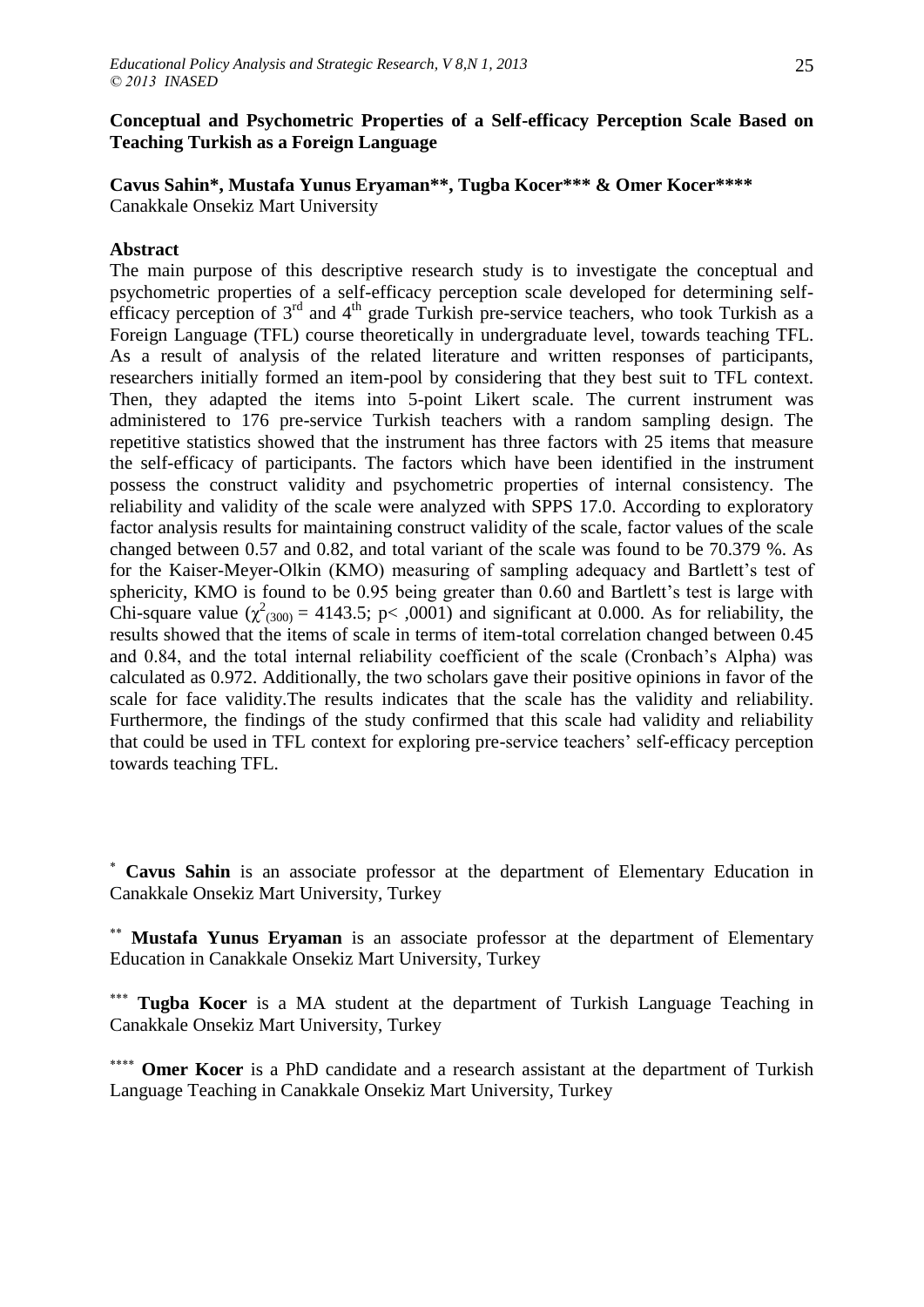# **Conceptual and Psychometric Properties of a Self-efficacy Perception Scale Based on Teaching Turkish as a Foreign Language**

**Cavus Sahin\*, Mustafa Yunus Eryaman\*\*, Tugba Kocer\*\*\* & Omer Kocer\*\*\*\*** Canakkale Onsekiz Mart University

# **Abstract**

The main purpose of this descriptive research study is to investigate the conceptual and psychometric properties of a self-efficacy perception scale developed for determining selfefficacy perception of  $3<sup>rd</sup>$  and  $4<sup>th</sup>$  grade Turkish pre-service teachers, who took Turkish as a Foreign Language (TFL) course theoretically in undergraduate level, towards teaching TFL. As a result of analysis of the related literature and written responses of participants, researchers initially formed an item-pool by considering that they best suit to TFL context. Then, they adapted the items into 5-point Likert scale. The current instrument was administered to 176 pre-service Turkish teachers with a random sampling design. The repetitive statistics showed that the instrument has three factors with 25 items that measure the self-efficacy of participants. The factors which have been identified in the instrument possess the construct validity and psychometric properties of internal consistency. The reliability and validity of the scale were analyzed with SPPS 17.0. According to exploratory factor analysis results for maintaining construct validity of the scale, factor values of the scale changed between 0.57 and 0.82, and total variant of the scale was found to be 70.379 %. As for the Kaiser-Meyer-Olkin (KMO) measuring of sampling adequacy and Bartlett's test of sphericity, KMO is found to be 0.95 being greater than 0.60 and Bartlett's test is large with Chi-square value  $(\chi^2_{(300)} = 4143.5; p < .0001)$  and significant at 0.000. As for reliability, the results showed that the items of scale in terms of item-total correlation changed between 0.45 and 0.84, and the total internal reliability coefficient of the scale (Cronbach"s Alpha) was calculated as 0.972. Additionally, the two scholars gave their positive opinions in favor of the scale for face validity.The results indicates that the scale has the validity and reliability. Furthermore, the findings of the study confirmed that this scale had validity and reliability that could be used in TFL context for exploring pre-service teachers" self-efficacy perception towards teaching TFL.

 **Cavus Sahin** is an associate professor at the department of Elementary Education in Canakkale Onsekiz Mart University, Turkey

 **Mustafa Yunus Eryaman** is an associate professor at the department of Elementary Education in Canakkale Onsekiz Mart University, Turkey

\*\*\* **Tugba Kocer** is a MA student at the department of Turkish Language Teaching in Canakkale Onsekiz Mart University, Turkey

\*\*\*\* **Omer Kocer** is a PhD candidate and a research assistant at the department of Turkish Language Teaching in Canakkale Onsekiz Mart University, Turkey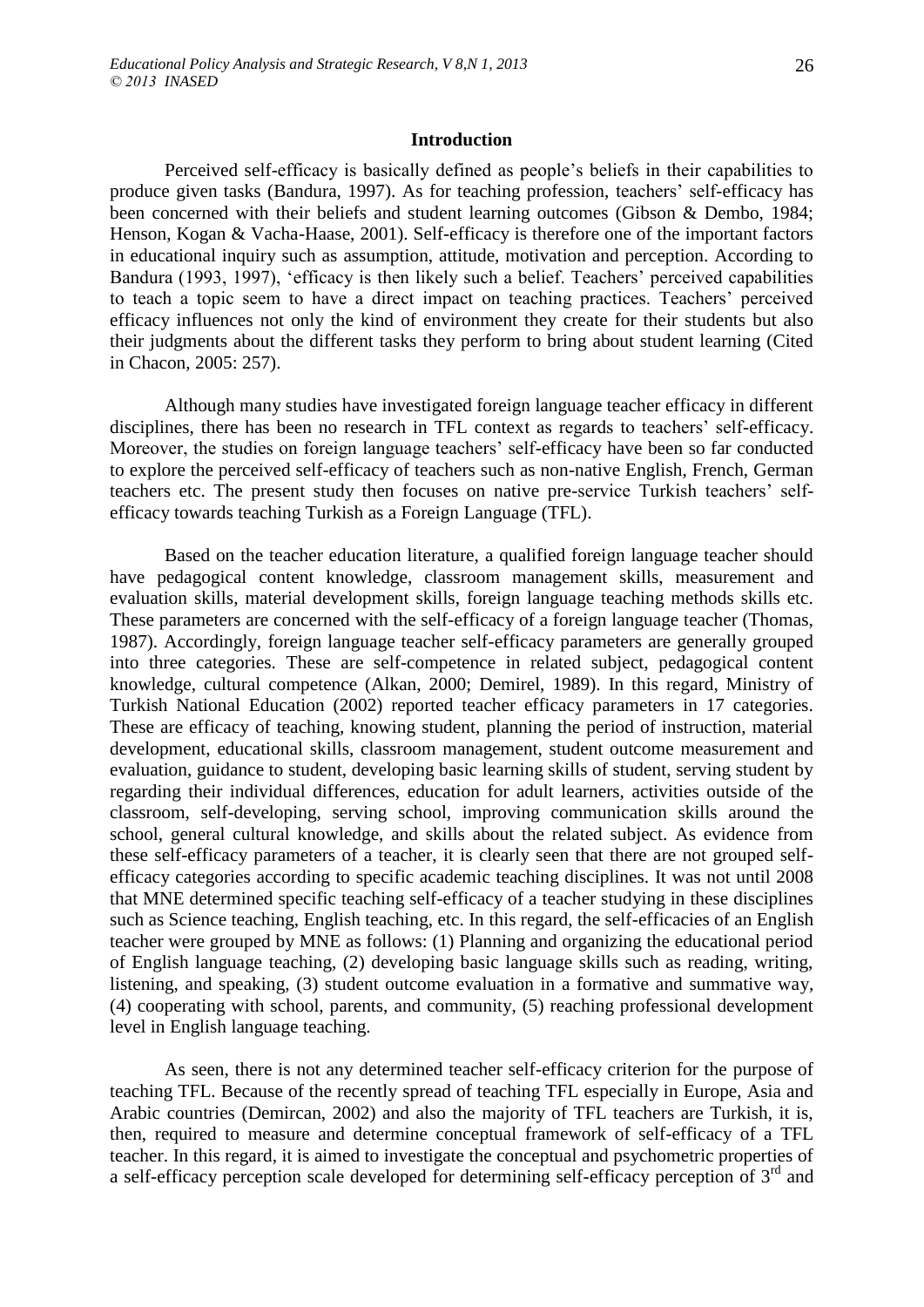Perceived self-efficacy is basically defined as people"s beliefs in their capabilities to produce given tasks (Bandura, 1997). As for teaching profession, teachers' self-efficacy has been concerned with their beliefs and student learning outcomes (Gibson & Dembo, 1984; Henson, Kogan & Vacha-Haase, 2001). Self-efficacy is therefore one of the important factors in educational inquiry such as assumption, attitude, motivation and perception. According to Bandura (1993, 1997), 'efficacy is then likely such a belief. Teachers' perceived capabilities to teach a topic seem to have a direct impact on teaching practices. Teachers" perceived efficacy influences not only the kind of environment they create for their students but also their judgments about the different tasks they perform to bring about student learning (Cited in Chacon, 2005: 257).

Although many studies have investigated foreign language teacher efficacy in different disciplines, there has been no research in TFL context as regards to teachers' self-efficacy. Moreover, the studies on foreign language teachers' self-efficacy have been so far conducted to explore the perceived self-efficacy of teachers such as non-native English, French, German teachers etc. The present study then focuses on native pre-service Turkish teachers" selfefficacy towards teaching Turkish as a Foreign Language (TFL).

Based on the teacher education literature, a qualified foreign language teacher should have pedagogical content knowledge, classroom management skills, measurement and evaluation skills, material development skills, foreign language teaching methods skills etc. These parameters are concerned with the self-efficacy of a foreign language teacher (Thomas, 1987). Accordingly, foreign language teacher self-efficacy parameters are generally grouped into three categories. These are self-competence in related subject, pedagogical content knowledge, cultural competence (Alkan, 2000; Demirel, 1989). In this regard, Ministry of Turkish National Education (2002) reported teacher efficacy parameters in 17 categories. These are efficacy of teaching, knowing student, planning the period of instruction, material development, educational skills, classroom management, student outcome measurement and evaluation, guidance to student, developing basic learning skills of student, serving student by regarding their individual differences, education for adult learners, activities outside of the classroom, self-developing, serving school, improving communication skills around the school, general cultural knowledge, and skills about the related subject. As evidence from these self-efficacy parameters of a teacher, it is clearly seen that there are not grouped selfefficacy categories according to specific academic teaching disciplines. It was not until 2008 that MNE determined specific teaching self-efficacy of a teacher studying in these disciplines such as Science teaching, English teaching, etc. In this regard, the self-efficacies of an English teacher were grouped by MNE as follows: (1) Planning and organizing the educational period of English language teaching, (2) developing basic language skills such as reading, writing, listening, and speaking, (3) student outcome evaluation in a formative and summative way, (4) cooperating with school, parents, and community, (5) reaching professional development level in English language teaching.

As seen, there is not any determined teacher self-efficacy criterion for the purpose of teaching TFL. Because of the recently spread of teaching TFL especially in Europe, Asia and Arabic countries (Demircan, 2002) and also the majority of TFL teachers are Turkish, it is, then, required to measure and determine conceptual framework of self-efficacy of a TFL teacher. In this regard, it is aimed to investigate the conceptual and psychometric properties of a self-efficacy perception scale developed for determining self-efficacy perception of 3rd and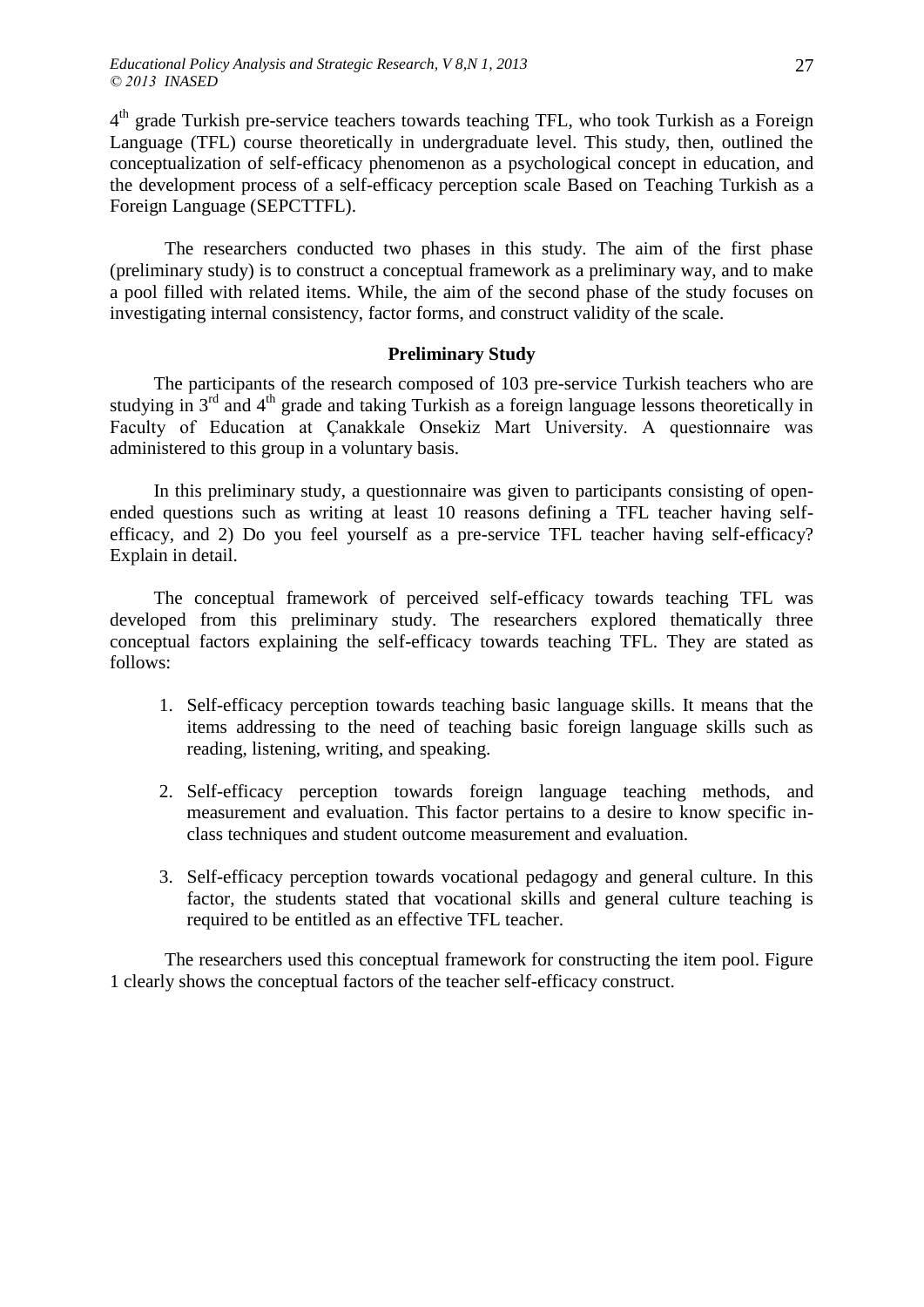4<sup>th</sup> grade Turkish pre-service teachers towards teaching TFL, who took Turkish as a Foreign Language (TFL) course theoretically in undergraduate level. This study, then, outlined the conceptualization of self-efficacy phenomenon as a psychological concept in education, and the development process of a self-efficacy perception scale Based on Teaching Turkish as a Foreign Language (SEPCTTFL).

The researchers conducted two phases in this study. The aim of the first phase (preliminary study) is to construct a conceptual framework as a preliminary way, and to make a pool filled with related items. While, the aim of the second phase of the study focuses on investigating internal consistency, factor forms, and construct validity of the scale.

## **Preliminary Study**

The participants of the research composed of 103 pre-service Turkish teachers who are studying in  $3<sup>rd</sup>$  and  $4<sup>th</sup>$  grade and taking Turkish as a foreign language lessons theoretically in Faculty of Education at Çanakkale Onsekiz Mart University. A questionnaire was administered to this group in a voluntary basis.

In this preliminary study, a questionnaire was given to participants consisting of openended questions such as writing at least 10 reasons defining a TFL teacher having selfefficacy, and 2) Do you feel yourself as a pre-service TFL teacher having self-efficacy? Explain in detail.

The conceptual framework of perceived self-efficacy towards teaching TFL was developed from this preliminary study. The researchers explored thematically three conceptual factors explaining the self-efficacy towards teaching TFL. They are stated as follows:

- 1. Self-efficacy perception towards teaching basic language skills. It means that the items addressing to the need of teaching basic foreign language skills such as reading, listening, writing, and speaking.
- 2. Self-efficacy perception towards foreign language teaching methods, and measurement and evaluation. This factor pertains to a desire to know specific inclass techniques and student outcome measurement and evaluation.
- 3. Self-efficacy perception towards vocational pedagogy and general culture. In this factor, the students stated that vocational skills and general culture teaching is required to be entitled as an effective TFL teacher.

The researchers used this conceptual framework for constructing the item pool. Figure 1 clearly shows the conceptual factors of the teacher self-efficacy construct.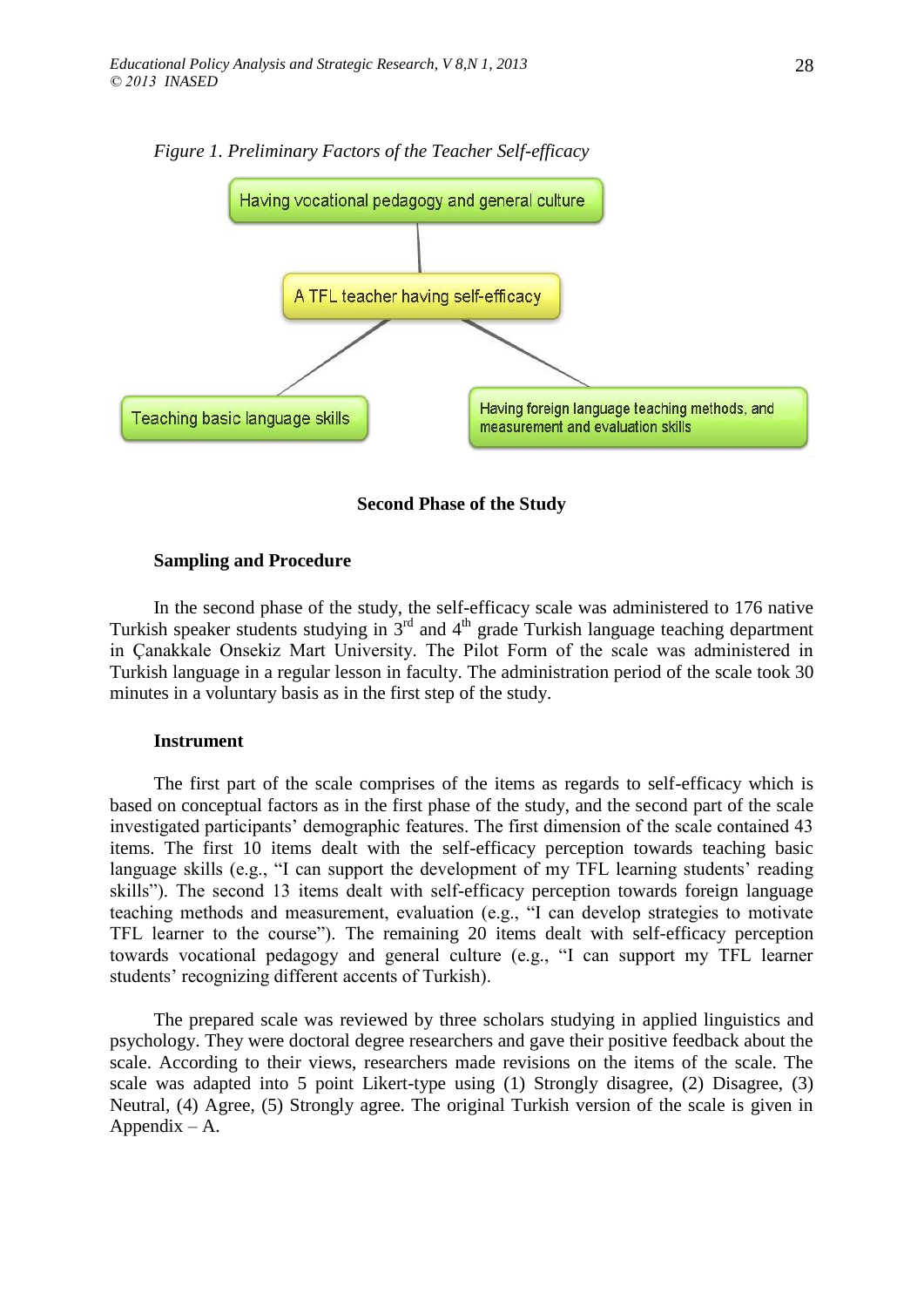

*Figure 1. Preliminary Factors of the Teacher Self-efficacy*



#### **Sampling and Procedure**

In the second phase of the study, the self-efficacy scale was administered to 176 native Turkish speaker students studying in  $3<sup>rd</sup>$  and  $4<sup>th</sup>$  grade Turkish language teaching department in Çanakkale Onsekiz Mart University. The Pilot Form of the scale was administered in Turkish language in a regular lesson in faculty. The administration period of the scale took 30 minutes in a voluntary basis as in the first step of the study.

### **Instrument**

The first part of the scale comprises of the items as regards to self-efficacy which is based on conceptual factors as in the first phase of the study, and the second part of the scale investigated participants' demographic features. The first dimension of the scale contained 43 items. The first 10 items dealt with the self-efficacy perception towards teaching basic language skills (e.g., "I can support the development of my TFL learning students' reading skills"). The second 13 items dealt with self-efficacy perception towards foreign language teaching methods and measurement, evaluation (e.g., "I can develop strategies to motivate TFL learner to the course"). The remaining 20 items dealt with self-efficacy perception towards vocational pedagogy and general culture (e.g., "I can support my TFL learner students' recognizing different accents of Turkish).

The prepared scale was reviewed by three scholars studying in applied linguistics and psychology. They were doctoral degree researchers and gave their positive feedback about the scale. According to their views, researchers made revisions on the items of the scale. The scale was adapted into 5 point Likert-type using (1) Strongly disagree, (2) Disagree, (3) Neutral, (4) Agree, (5) Strongly agree. The original Turkish version of the scale is given in Appendix – A.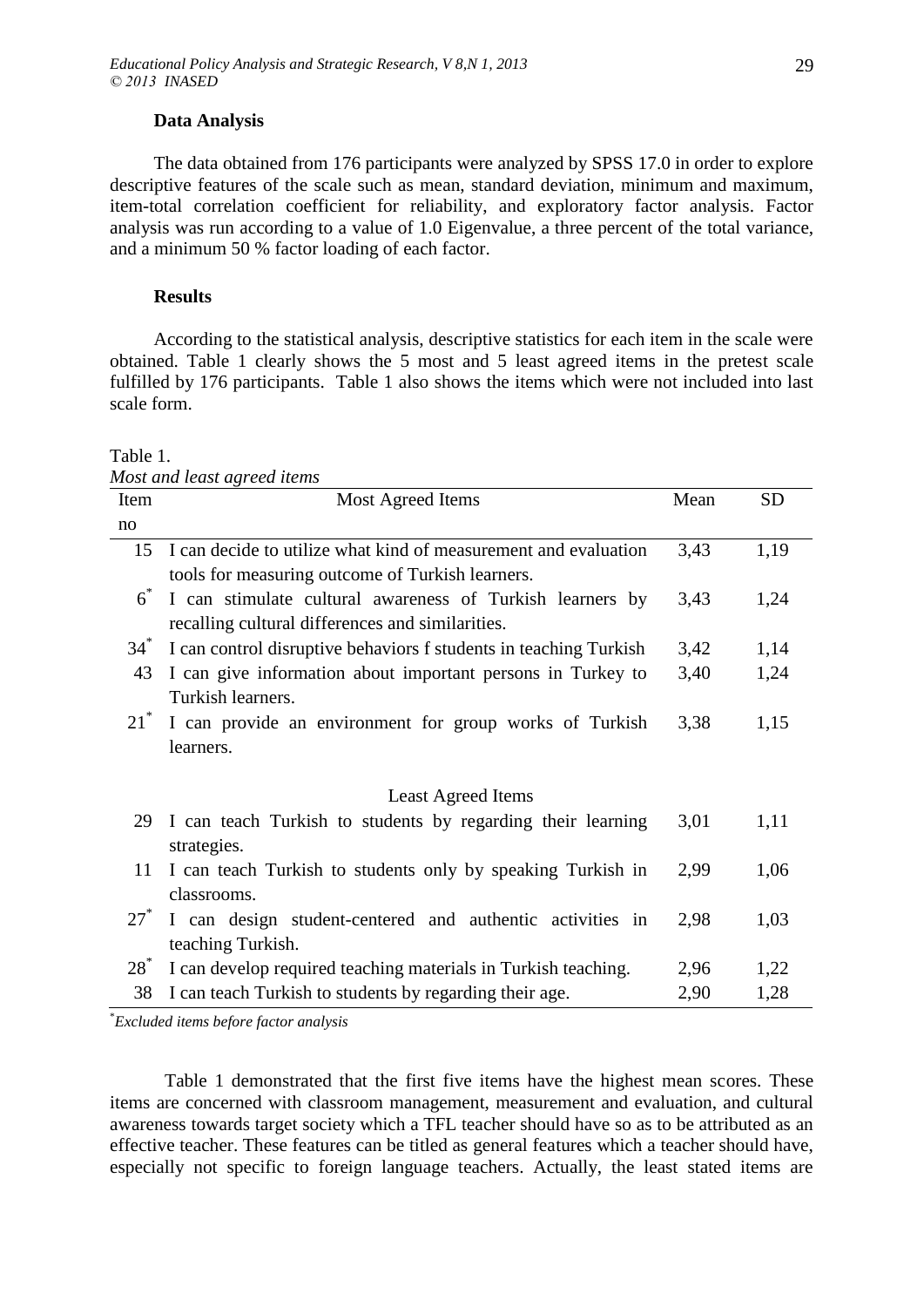#### **Data Analysis**

The data obtained from 176 participants were analyzed by SPSS 17.0 in order to explore descriptive features of the scale such as mean, standard deviation, minimum and maximum, item-total correlation coefficient for reliability, and exploratory factor analysis. Factor analysis was run according to a value of 1.0 Eigenvalue, a three percent of the total variance, and a minimum 50 % factor loading of each factor.

### **Results**

According to the statistical analysis, descriptive statistics for each item in the scale were obtained. Table 1 clearly shows the 5 most and 5 least agreed items in the pretest scale fulfilled by 176 participants. Table 1 also shows the items which were not included into last scale form.

*Most and least agreed items*

| Item   | Most Agreed Items                                                 | Mean | <b>SD</b> |
|--------|-------------------------------------------------------------------|------|-----------|
| no     |                                                                   |      |           |
| 15     | I can decide to utilize what kind of measurement and evaluation   | 3,43 | 1,19      |
|        | tools for measuring outcome of Turkish learners.                  |      |           |
| $6^*$  | I can stimulate cultural awareness of Turkish learners by         | 3,43 | 1,24      |
|        | recalling cultural differences and similarities.                  |      |           |
| $34^*$ | I can control disruptive behaviors f students in teaching Turkish | 3,42 | 1,14      |
| 43     | I can give information about important persons in Turkey to       | 3,40 | 1,24      |
|        | Turkish learners.                                                 |      |           |
| $21^*$ | I can provide an environment for group works of Turkish           | 3,38 | 1,15      |
|        | learners.                                                         |      |           |
|        |                                                                   |      |           |
|        | <b>Least Agreed Items</b>                                         |      |           |
| 29     | I can teach Turkish to students by regarding their learning       | 3,01 | 1,11      |
|        | strategies.                                                       |      |           |
| 11     | I can teach Turkish to students only by speaking Turkish in       | 2,99 | 1,06      |
|        | classrooms.                                                       |      |           |
| $27^*$ | I can design student-centered and authentic activities in         | 2,98 | 1,03      |
|        | teaching Turkish.                                                 |      |           |
| $28^*$ | I can develop required teaching materials in Turkish teaching.    | 2,96 | 1,22      |
| 38     | I can teach Turkish to students by regarding their age.           | 2,90 | 1,28      |

\**Excluded items before factor analysis*

Table 1 demonstrated that the first five items have the highest mean scores. These items are concerned with classroom management, measurement and evaluation, and cultural awareness towards target society which a TFL teacher should have so as to be attributed as an effective teacher. These features can be titled as general features which a teacher should have, especially not specific to foreign language teachers. Actually, the least stated items are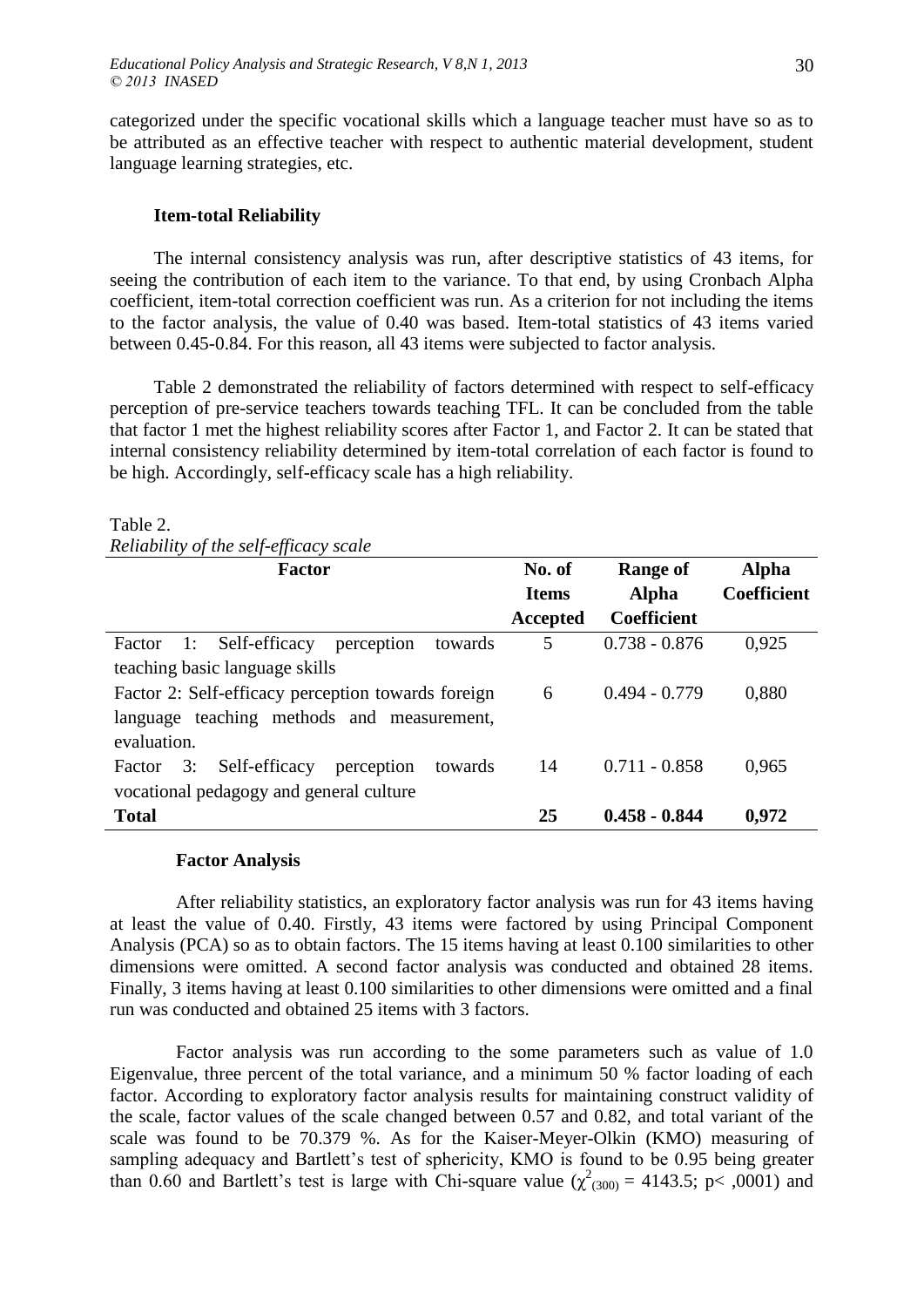categorized under the specific vocational skills which a language teacher must have so as to be attributed as an effective teacher with respect to authentic material development, student language learning strategies, etc.

## **Item-total Reliability**

The internal consistency analysis was run, after descriptive statistics of 43 items, for seeing the contribution of each item to the variance. To that end, by using Cronbach Alpha coefficient, item-total correction coefficient was run. As a criterion for not including the items to the factor analysis, the value of 0.40 was based. Item-total statistics of 43 items varied between 0.45-0.84. For this reason, all 43 items were subjected to factor analysis.

Table 2 demonstrated the reliability of factors determined with respect to self-efficacy perception of pre-service teachers towards teaching TFL. It can be concluded from the table that factor 1 met the highest reliability scores after Factor 1, and Factor 2. It can be stated that internal consistency reliability determined by item-total correlation of each factor is found to be high. Accordingly, self-efficacy scale has a high reliability.

### Table 2.

*Reliability of the self-efficacy scale*

| Factor                                                 | No. of       | Range of           | <b>Alpha</b>       |
|--------------------------------------------------------|--------------|--------------------|--------------------|
|                                                        | <b>Items</b> | <b>Alpha</b>       | <b>Coefficient</b> |
|                                                        | Accepted     | <b>Coefficient</b> |                    |
| 1: Self-efficacy<br>perception<br>towards<br>Factor    | 5            | $0.738 - 0.876$    | 0,925              |
| teaching basic language skills                         |              |                    |                    |
| Factor 2: Self-efficacy perception towards foreign     | 6            | $0.494 - 0.779$    | 0,880              |
| language teaching methods and measurement,             |              |                    |                    |
| evaluation.                                            |              |                    |                    |
| Self-efficacy<br>perception<br>towards<br>3:<br>Factor | 14           | $0.711 - 0.858$    | 0,965              |
| vocational pedagogy and general culture                |              |                    |                    |
| <b>Total</b>                                           | 25           | $0.458 - 0.844$    | 0,972              |

### **Factor Analysis**

After reliability statistics, an exploratory factor analysis was run for 43 items having at least the value of 0.40. Firstly, 43 items were factored by using Principal Component Analysis (PCA) so as to obtain factors. The 15 items having at least 0.100 similarities to other dimensions were omitted. A second factor analysis was conducted and obtained 28 items. Finally, 3 items having at least 0.100 similarities to other dimensions were omitted and a final run was conducted and obtained 25 items with 3 factors.

Factor analysis was run according to the some parameters such as value of 1.0 Eigenvalue, three percent of the total variance, and a minimum 50 % factor loading of each factor. According to exploratory factor analysis results for maintaining construct validity of the scale, factor values of the scale changed between 0.57 and 0.82, and total variant of the scale was found to be 70.379 %. As for the Kaiser-Meyer-Olkin (KMO) measuring of sampling adequacy and Bartlett's test of sphericity, KMO is found to be 0.95 being greater than 0.60 and Bartlett's test is large with Chi-square value ( $\chi^2_{(300)} = 4143.5$ ; p< ,0001) and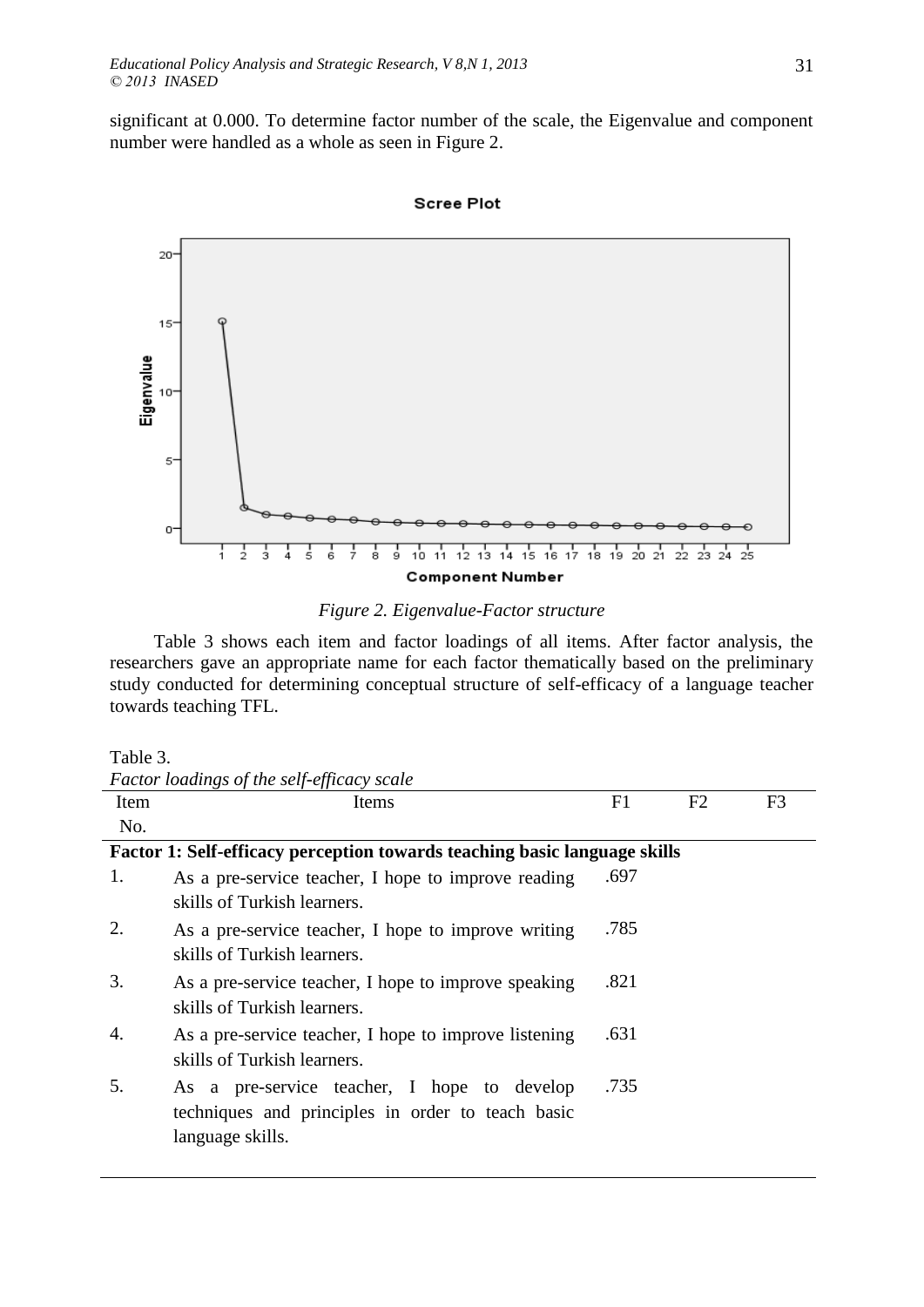significant at 0.000. To determine factor number of the scale, the Eigenvalue and component number were handled as a whole as seen in Figure 2.



# **Scree Plot**

## *Figure 2. Eigenvalue-Factor structure*

Table 3 shows each item and factor loadings of all items. After factor analysis, the researchers gave an appropriate name for each factor thematically based on the preliminary study conducted for determining conceptual structure of self-efficacy of a language teacher towards teaching TFL.

### Table 3.

|  | Factor loadings of the self-efficacy scale |  |
|--|--------------------------------------------|--|
|  |                                            |  |

| Item | IJ<br>Items                                                                                                          | F1   | F <sub>2</sub> | F <sub>3</sub> |
|------|----------------------------------------------------------------------------------------------------------------------|------|----------------|----------------|
| No.  |                                                                                                                      |      |                |                |
|      | Factor 1: Self-efficacy perception towards teaching basic language skills                                            |      |                |                |
| 1.   | As a pre-service teacher, I hope to improve reading<br>skills of Turkish learners.                                   | .697 |                |                |
| 2.   | As a pre-service teacher, I hope to improve writing<br>skills of Turkish learners.                                   | .785 |                |                |
| 3.   | As a pre-service teacher, I hope to improve speaking<br>skills of Turkish learners.                                  | .821 |                |                |
| 4.   | As a pre-service teacher, I hope to improve listening<br>skills of Turkish learners.                                 | .631 |                |                |
| 5.   | As a pre-service teacher, I hope to develop<br>techniques and principles in order to teach basic<br>language skills. | .735 |                |                |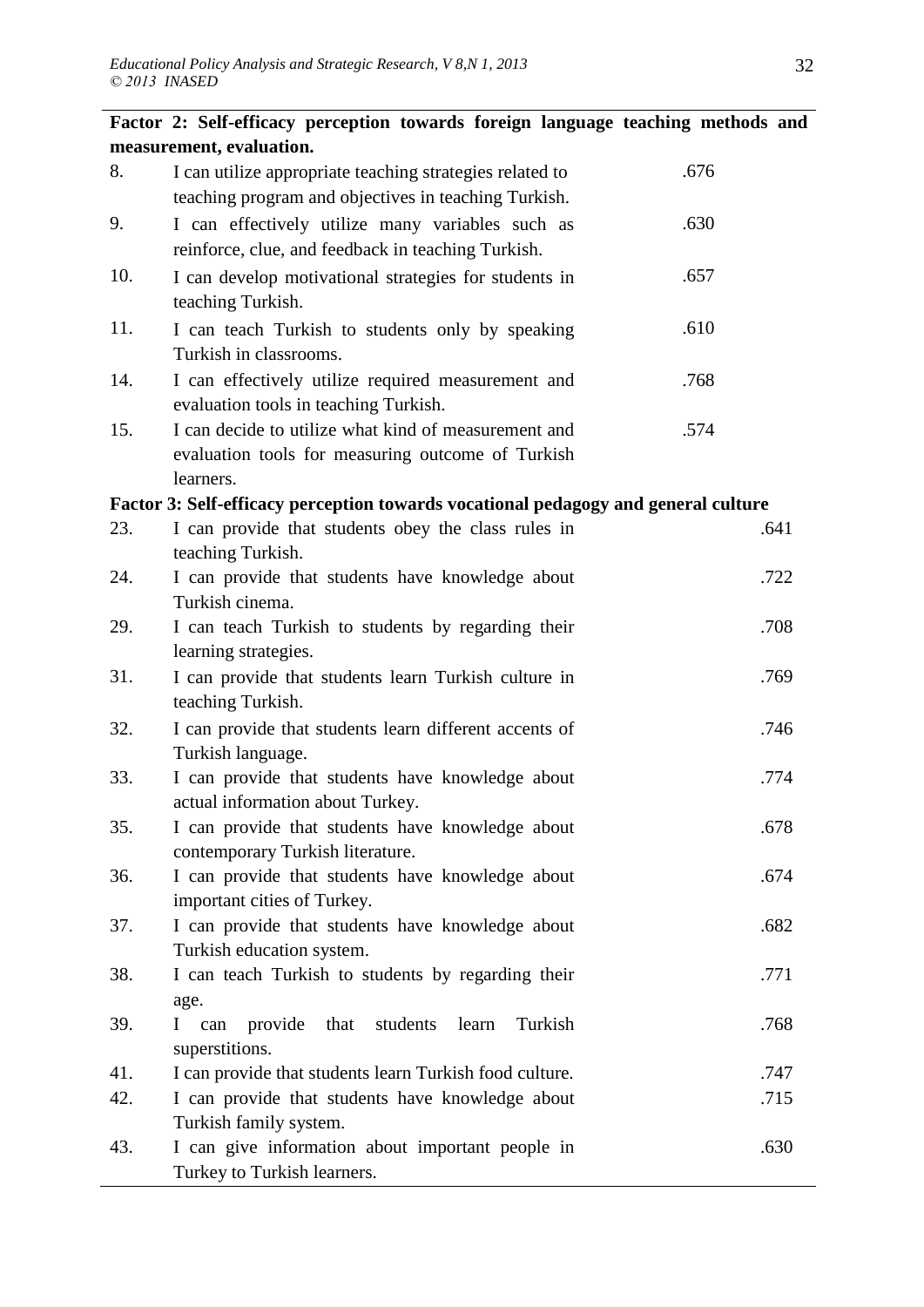|     | Factor 2: Self-efficacy perception towards foreign language teaching methods and                                       |      |
|-----|------------------------------------------------------------------------------------------------------------------------|------|
|     | measurement, evaluation.                                                                                               |      |
| 8.  | I can utilize appropriate teaching strategies related to<br>teaching program and objectives in teaching Turkish.       | .676 |
| 9.  | I can effectively utilize many variables such as<br>reinforce, clue, and feedback in teaching Turkish.                 | .630 |
| 10. | I can develop motivational strategies for students in<br>teaching Turkish.                                             | .657 |
| 11. | I can teach Turkish to students only by speaking<br>Turkish in classrooms.                                             | .610 |
| 14. | I can effectively utilize required measurement and<br>evaluation tools in teaching Turkish.                            | .768 |
| 15. | I can decide to utilize what kind of measurement and<br>evaluation tools for measuring outcome of Turkish<br>learners. | .574 |
|     | Factor 3: Self-efficacy perception towards vocational pedagogy and general culture                                     |      |
| 23. | I can provide that students obey the class rules in<br>teaching Turkish.                                               | .641 |
| 24. | I can provide that students have knowledge about<br>Turkish cinema.                                                    | .722 |
| 29. | I can teach Turkish to students by regarding their<br>learning strategies.                                             | .708 |
| 31. | I can provide that students learn Turkish culture in<br>teaching Turkish.                                              | .769 |
| 32. | I can provide that students learn different accents of<br>Turkish language.                                            | .746 |
| 33. | I can provide that students have knowledge about<br>actual information about Turkey.                                   | .774 |
| 35. | I can provide that students have knowledge about<br>contemporary Turkish literature.                                   | .678 |
| 36. | I can provide that students have knowledge about<br>important cities of Turkey.                                        | .674 |
| 37. | I can provide that students have knowledge about<br>Turkish education system.                                          | .682 |
| 38. | I can teach Turkish to students by regarding their<br>age.                                                             | .771 |
| 39. | provide that<br>Turkish<br>students<br>learn<br>I can<br>superstitions.                                                | .768 |
| 41. | I can provide that students learn Turkish food culture.                                                                | .747 |
| 42. | I can provide that students have knowledge about<br>Turkish family system.                                             | .715 |
| 43. | I can give information about important people in<br>Turkey to Turkish learners.                                        | .630 |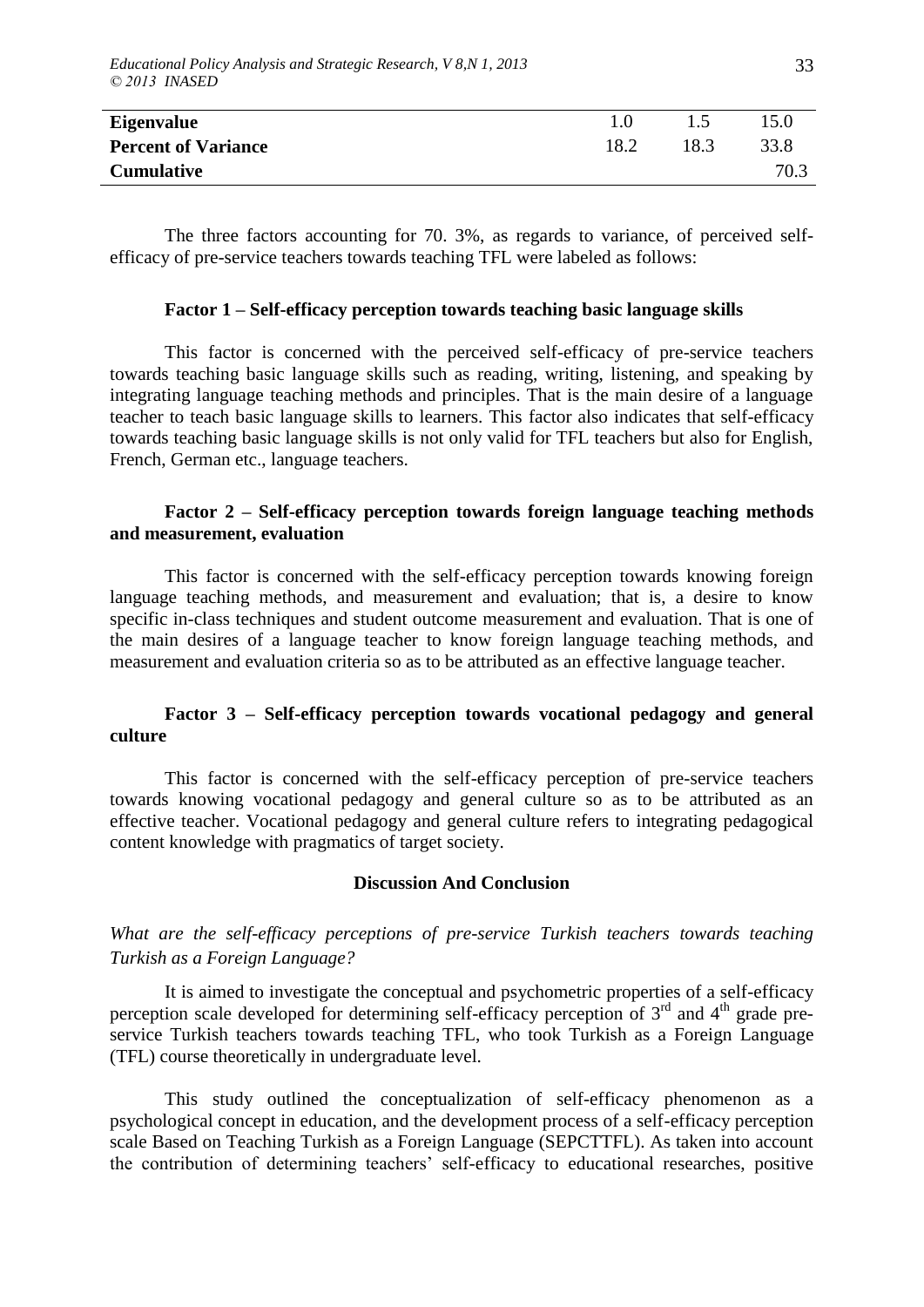| Eigenvalue                 | 1.0  |      | 15.0 |
|----------------------------|------|------|------|
| <b>Percent of Variance</b> | 18.2 | 18.3 | 33.8 |
| <b>Cumulative</b>          |      |      | 70.3 |

The three factors accounting for 70. 3%, as regards to variance, of perceived selfefficacy of pre-service teachers towards teaching TFL were labeled as follows:

#### **Factor 1 – Self-efficacy perception towards teaching basic language skills**

This factor is concerned with the perceived self-efficacy of pre-service teachers towards teaching basic language skills such as reading, writing, listening, and speaking by integrating language teaching methods and principles. That is the main desire of a language teacher to teach basic language skills to learners. This factor also indicates that self-efficacy towards teaching basic language skills is not only valid for TFL teachers but also for English, French, German etc., language teachers.

## **Factor 2 – Self-efficacy perception towards foreign language teaching methods and measurement, evaluation**

This factor is concerned with the self-efficacy perception towards knowing foreign language teaching methods, and measurement and evaluation; that is, a desire to know specific in-class techniques and student outcome measurement and evaluation. That is one of the main desires of a language teacher to know foreign language teaching methods, and measurement and evaluation criteria so as to be attributed as an effective language teacher.

## **Factor 3 – Self-efficacy perception towards vocational pedagogy and general culture**

This factor is concerned with the self-efficacy perception of pre-service teachers towards knowing vocational pedagogy and general culture so as to be attributed as an effective teacher. Vocational pedagogy and general culture refers to integrating pedagogical content knowledge with pragmatics of target society.

#### **Discussion And Conclusion**

# *What are the self-efficacy perceptions of pre-service Turkish teachers towards teaching Turkish as a Foreign Language?*

It is aimed to investigate the conceptual and psychometric properties of a self-efficacy perception scale developed for determining self-efficacy perception of  $3<sup>rd</sup>$  and  $4<sup>th</sup>$  grade preservice Turkish teachers towards teaching TFL, who took Turkish as a Foreign Language (TFL) course theoretically in undergraduate level.

This study outlined the conceptualization of self-efficacy phenomenon as a psychological concept in education, and the development process of a self-efficacy perception scale Based on Teaching Turkish as a Foreign Language (SEPCTTFL). As taken into account the contribution of determining teachers" self-efficacy to educational researches, positive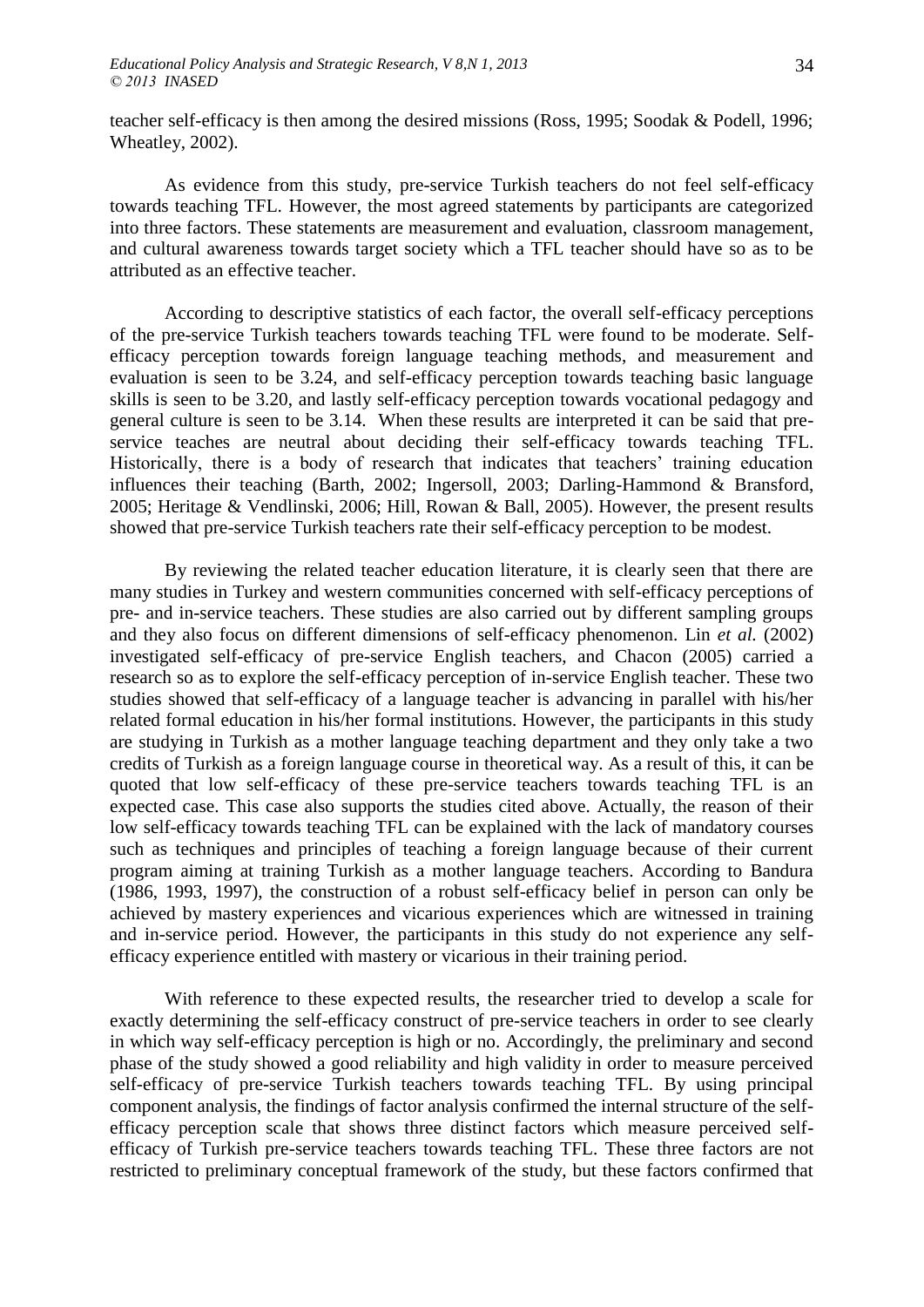teacher self-efficacy is then among the desired missions (Ross, 1995; Soodak & Podell, 1996; Wheatley, 2002).

As evidence from this study, pre-service Turkish teachers do not feel self-efficacy towards teaching TFL. However, the most agreed statements by participants are categorized into three factors. These statements are measurement and evaluation, classroom management, and cultural awareness towards target society which a TFL teacher should have so as to be attributed as an effective teacher.

According to descriptive statistics of each factor, the overall self-efficacy perceptions of the pre-service Turkish teachers towards teaching TFL were found to be moderate. Selfefficacy perception towards foreign language teaching methods, and measurement and evaluation is seen to be 3.24, and self-efficacy perception towards teaching basic language skills is seen to be 3.20, and lastly self-efficacy perception towards vocational pedagogy and general culture is seen to be 3.14. When these results are interpreted it can be said that preservice teaches are neutral about deciding their self-efficacy towards teaching TFL. Historically, there is a body of research that indicates that teachers' training education influences their teaching (Barth, 2002; Ingersoll, 2003; Darling-Hammond & Bransford, 2005; Heritage & Vendlinski, 2006; Hill, Rowan & Ball, 2005). However, the present results showed that pre-service Turkish teachers rate their self-efficacy perception to be modest.

By reviewing the related teacher education literature, it is clearly seen that there are many studies in Turkey and western communities concerned with self-efficacy perceptions of pre- and in-service teachers. These studies are also carried out by different sampling groups and they also focus on different dimensions of self-efficacy phenomenon. Lin *et al.* (2002) investigated self-efficacy of pre-service English teachers, and Chacon (2005) carried a research so as to explore the self-efficacy perception of in-service English teacher. These two studies showed that self-efficacy of a language teacher is advancing in parallel with his/her related formal education in his/her formal institutions. However, the participants in this study are studying in Turkish as a mother language teaching department and they only take a two credits of Turkish as a foreign language course in theoretical way. As a result of this, it can be quoted that low self-efficacy of these pre-service teachers towards teaching TFL is an expected case. This case also supports the studies cited above. Actually, the reason of their low self-efficacy towards teaching TFL can be explained with the lack of mandatory courses such as techniques and principles of teaching a foreign language because of their current program aiming at training Turkish as a mother language teachers. According to Bandura (1986, 1993, 1997), the construction of a robust self-efficacy belief in person can only be achieved by mastery experiences and vicarious experiences which are witnessed in training and in-service period. However, the participants in this study do not experience any selfefficacy experience entitled with mastery or vicarious in their training period.

With reference to these expected results, the researcher tried to develop a scale for exactly determining the self-efficacy construct of pre-service teachers in order to see clearly in which way self-efficacy perception is high or no. Accordingly, the preliminary and second phase of the study showed a good reliability and high validity in order to measure perceived self-efficacy of pre-service Turkish teachers towards teaching TFL. By using principal component analysis, the findings of factor analysis confirmed the internal structure of the selfefficacy perception scale that shows three distinct factors which measure perceived selfefficacy of Turkish pre-service teachers towards teaching TFL. These three factors are not restricted to preliminary conceptual framework of the study, but these factors confirmed that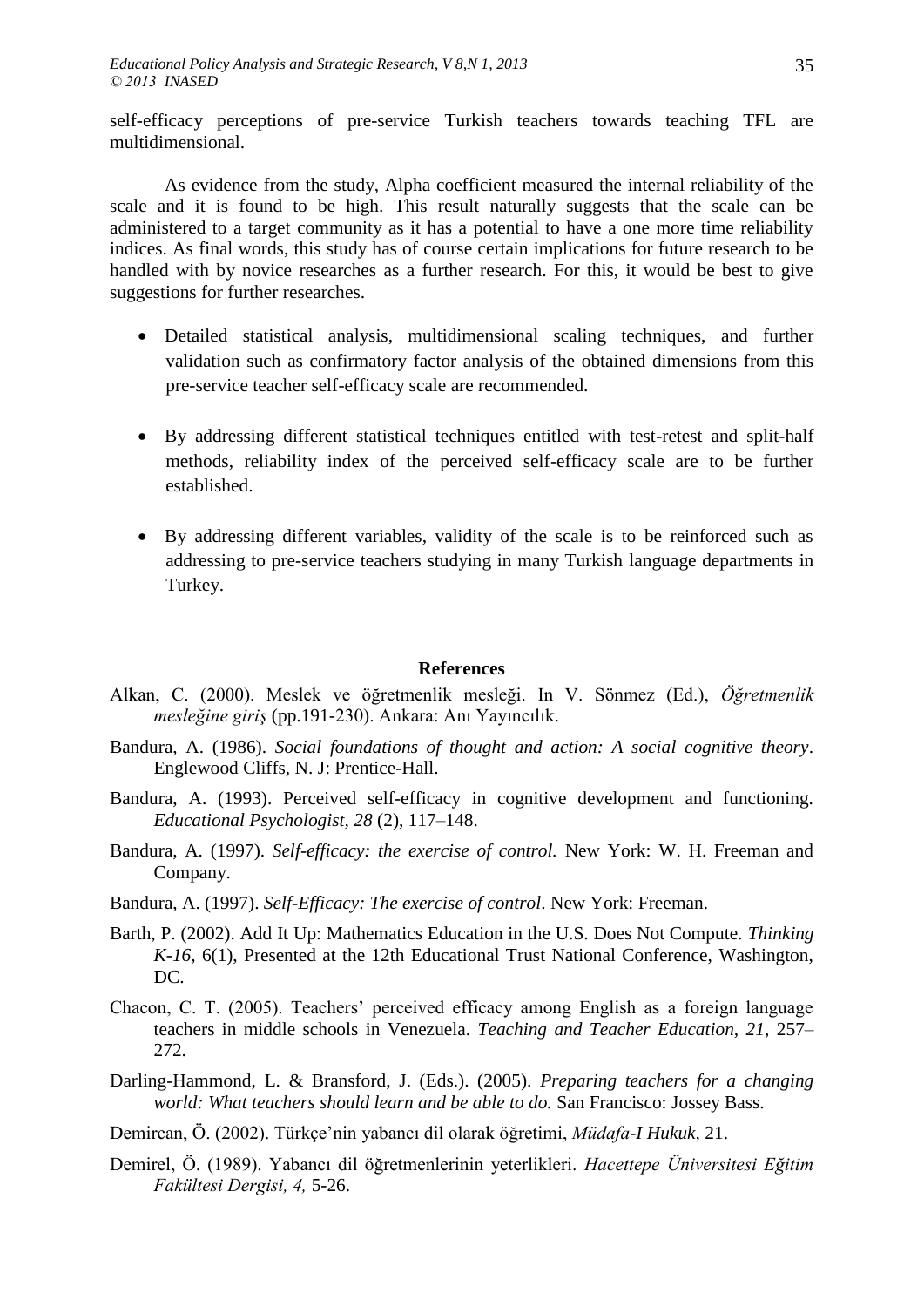self-efficacy perceptions of pre-service Turkish teachers towards teaching TFL are multidimensional.

As evidence from the study, Alpha coefficient measured the internal reliability of the scale and it is found to be high. This result naturally suggests that the scale can be administered to a target community as it has a potential to have a one more time reliability indices. As final words, this study has of course certain implications for future research to be handled with by novice researches as a further research. For this, it would be best to give suggestions for further researches.

- Detailed statistical analysis, multidimensional scaling techniques, and further validation such as confirmatory factor analysis of the obtained dimensions from this pre-service teacher self-efficacy scale are recommended.
- By addressing different statistical techniques entitled with test-retest and split-half methods, reliability index of the perceived self-efficacy scale are to be further established.
- By addressing different variables, validity of the scale is to be reinforced such as addressing to pre-service teachers studying in many Turkish language departments in Turkey.

### **References**

- Alkan, C. (2000). Meslek ve öğretmenlik mesleği. In V. Sönmez (Ed.), *Öğretmenlik mesleğine giriş* (pp.191-230). Ankara: Anı Yayıncılık.
- Bandura, A. (1986). *Social foundations of thought and action: A social cognitive theory*. Englewood Cliffs, N. J: Prentice-Hall.
- Bandura, A. (1993). Perceived self-efficacy in cognitive development and functioning. *Educational Psychologist, 28* (2), 117–148.
- Bandura, A. (1997). *Self-efficacy: the exercise of control.* New York: W. H. Freeman and Company.
- Bandura, A. (1997). *Self-Efficacy: The exercise of control*. New York: Freeman.
- Barth, P. (2002). Add It Up: Mathematics Education in the U.S. Does Not Compute. *Thinking K-16,* 6(1), Presented at the 12th Educational Trust National Conference, Washington, DC.
- Chacon, C. T. (2005). Teachers" perceived efficacy among English as a foreign language teachers in middle schools in Venezuela. *Teaching and Teacher Education, 21*, 257– 272.
- Darling-Hammond, L. & Bransford, J. (Eds.). (2005). *Preparing teachers for a changing world: What teachers should learn and be able to do.* San Francisco: Jossey Bass.
- Demircan, Ö. (2002). Türkçe"nin yabancı dil olarak öğretimi, *Müdafa-I Hukuk,* 21.
- Demirel, Ö. (1989). Yabancı dil öğretmenlerinin yeterlikleri. *Hacettepe Üniversitesi Eğitim Fakültesi Dergisi, 4,* 5-26.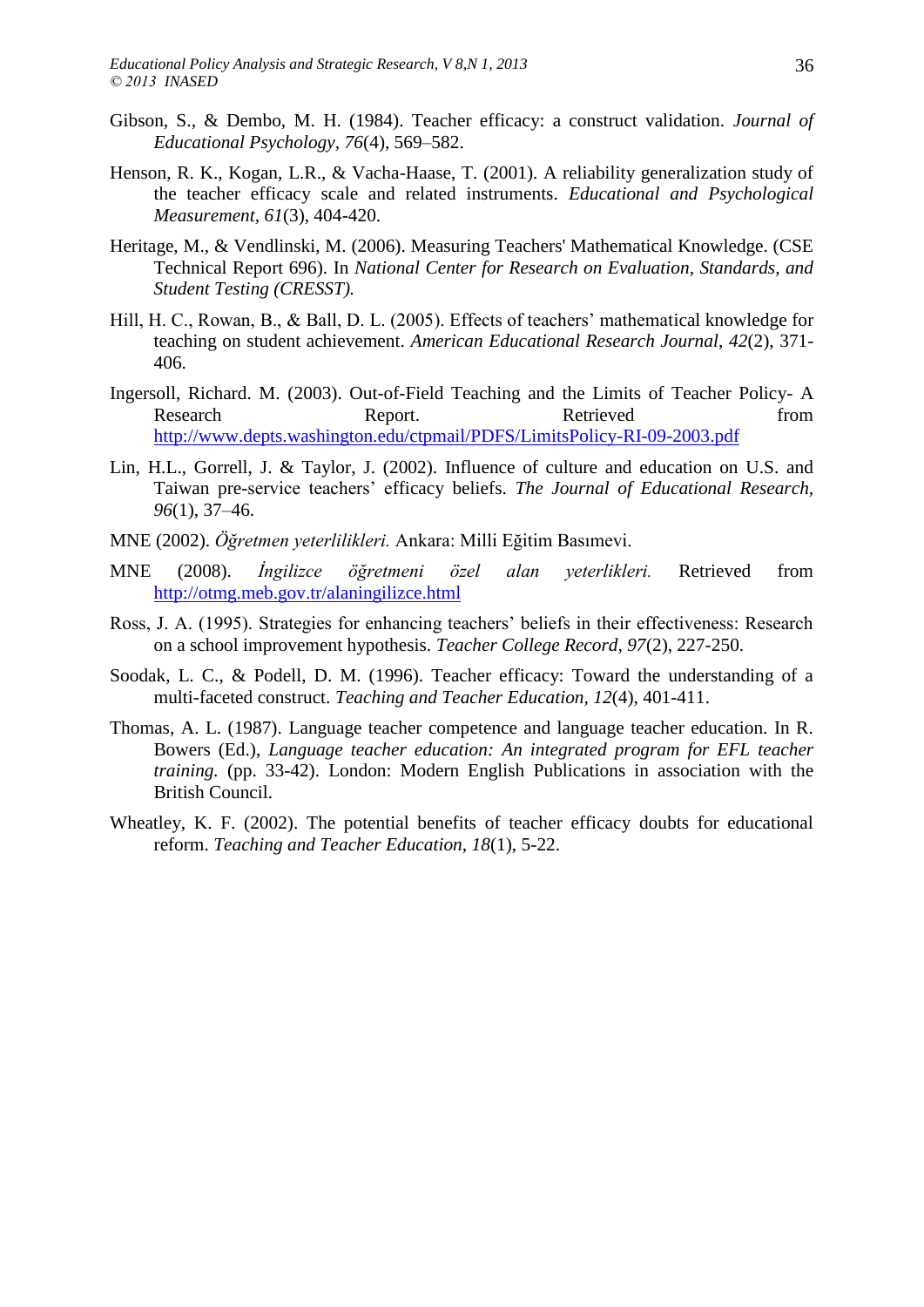- Gibson, S., & Dembo, M. H. (1984). Teacher efficacy: a construct validation. *Journal of Educational Psychology, 76*(4), 569–582.
- Henson, R. K., Kogan, L.R., & Vacha-Haase, T. (2001). A reliability generalization study of the teacher efficacy scale and related instruments. *Educational and Psychological Measurement, 61*(3), 404-420.
- Heritage, M., & Vendlinski, M. (2006). Measuring Teachers' Mathematical Knowledge. (CSE Technical Report 696). In *National Center for Research on Evaluation, Standards, and Student Testing (CRESST).*
- Hill, H. C., Rowan, B., & Ball, D. L. (2005). Effects of teachers' mathematical knowledge for teaching on student achievement. *American Educational Research Journal*, *42*(2), 371- 406.
- Ingersoll, Richard. M. (2003). Out-of-Field Teaching and the Limits of Teacher Policy- A Research Report. Report. Retrieved from <http://www.depts.washington.edu/ctpmail/PDFS/LimitsPolicy-RI-09-2003.pdf>
- Lin, H.L., Gorrell, J. & Taylor, J. (2002). Influence of culture and education on U.S. and Taiwan pre-service teachers" efficacy beliefs. *The Journal of Educational Research, 96*(1), 37–46.
- MNE (2002). *Öğretmen yeterlilikleri.* Ankara: Milli Eğitim Basımevi.
- MNE (2008). *İngilizce öğretmeni özel alan yeterlikleri.* Retrieved from <http://otmg.meb.gov.tr/alaningilizce.html>
- Ross, J. A. (1995). Strategies for enhancing teachers" beliefs in their effectiveness: Research on a school improvement hypothesis. *Teacher College Record, 97*(2), 227-250.
- Soodak, L. C., & Podell, D. M. (1996). Teacher efficacy: Toward the understanding of a multi-faceted construct. *Teaching and Teacher Education, 12*(4), 401-411.
- Thomas, A. L. (1987). Language teacher competence and language teacher education. In R. Bowers (Ed.), *Language teacher education: An integrated program for EFL teacher training.* (pp. 33-42). London: Modern English Publications in association with the British Council.
- Wheatley, K. F. (2002). The potential benefits of teacher efficacy doubts for educational reform. *Teaching and Teacher Education, 18*(1), 5-22.